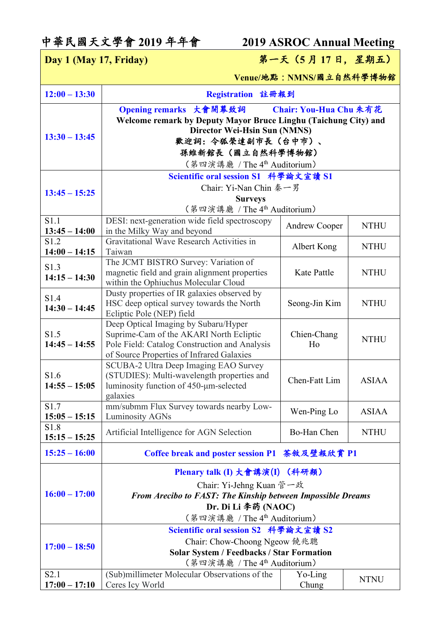## 中華民國天文學會 **2019** 年年會 **2019 ASROC Annual Meeting**

**Day 1 (May 17, Friday)** 第一天(**5** 月 **17** 日, 星期五)

**Venue/**地點**:NMNS/**國立自然科學博物館

| $12:00 - 13:30$                     | Registration 註冊報到                                                                                                                                                                                                                          |                      |              |
|-------------------------------------|--------------------------------------------------------------------------------------------------------------------------------------------------------------------------------------------------------------------------------------------|----------------------|--------------|
| $13:30 - 13:45$                     | Opening remarks 大會開幕致詞<br>Chair: You-Hua Chu 朱有花<br>Welcome remark by Deputy Mayor Bruce Linghu (Taichung City) and<br>Director Wei-Hsin Sun (NMNS)<br>歡迎詞: 令狐榮達副市長 (台中市)、<br>孫維新館長(國立自然科學博物館)<br>(第四演講廳 / The 4 <sup>th</sup> Auditorium) |                      |              |
|                                     | Scientific oral session S1 科學論文宣讀 S1                                                                                                                                                                                                       |                      |              |
| $13:45 - 15:25$                     | Chair: Yi-Nan Chin 秦一男<br><b>Surveys</b><br>(第四演講廳 / The 4 <sup>th</sup> Auditorium)                                                                                                                                                       |                      |              |
| S1.1                                | DESI: next-generation wide field spectroscopy                                                                                                                                                                                              |                      |              |
| $13:45 - 14:00$                     | in the Milky Way and beyond                                                                                                                                                                                                                | <b>Andrew Cooper</b> | <b>NTHU</b>  |
| S1.2<br>$14:00 - 14:15$             | Gravitational Wave Research Activities in<br>Taiwan                                                                                                                                                                                        | Albert Kong          | <b>NTHU</b>  |
| S1.3<br>$14:15 - 14:30$             | The JCMT BISTRO Survey: Variation of<br>magnetic field and grain alignment properties<br>within the Ophiuchus Molecular Cloud                                                                                                              | Kate Pattle          | <b>NTHU</b>  |
| S1.4<br>$14:30 - 14:45$             | Dusty properties of IR galaxies observed by<br>HSC deep optical survey towards the North<br>Ecliptic Pole (NEP) field                                                                                                                      | Seong-Jin Kim        | <b>NTHU</b>  |
| S1.5<br>$14:45 - 14:55$             | Deep Optical Imaging by Subaru/Hyper<br>Suprime-Cam of the AKARI North Ecliptic<br>Pole Field: Catalog Construction and Analysis<br>of Source Properties of Infrared Galaxies                                                              | Chien-Chang<br>Ho    | <b>NTHU</b>  |
| S1.6<br>$14:55 - 15:05$             | SCUBA-2 Ultra Deep Imaging EAO Survey<br>(STUDIES): Multi-wavelength properties and<br>luminosity function of 450-µm-selected<br>galaxies                                                                                                  | Chen-Fatt Lim        | <b>ASIAA</b> |
| S1.7<br>$15:05 - 15:15$             | mm/submm Flux Survey towards nearby Low-<br><b>Luminosity AGNs</b>                                                                                                                                                                         | Wen-Ping Lo          | <b>ASIAA</b> |
| S1.8<br>$15:15 - 15:25$             | Artificial Intelligence for AGN Selection                                                                                                                                                                                                  | Bo-Han Chen          | <b>NTHU</b>  |
| $15:25 - 16:00$                     | Coffee break and poster session P1 茶敘及壁報欣賞 P1                                                                                                                                                                                              |                      |              |
|                                     | Plenary talk (I) 大會講演(I) (科研類)                                                                                                                                                                                                             |                      |              |
| $16:00 - 17:00$                     | Chair: Yi-Jehng Kuan 管一政<br>From Arecibo to FAST: The Kinship between Impossible Dreams<br>Dr. Di Li 李菂 (NAOC)<br>(第四演講廳 / The 4 <sup>th</sup> Auditorium)                                                                                 |                      |              |
| $17:00 - 18:50$                     | Scientific oral session S2 科學論文宣讀 S2<br>Chair: Chow-Choong Ngeow 饒兆聰<br><b>Solar System / Feedbacks / Star Formation</b><br>(第四演講廳 / The 4 <sup>th</sup> Auditorium)                                                                       |                      |              |
| S <sub>2.1</sub><br>$17:00 - 17:10$ | (Sub)millimeter Molecular Observations of the<br>Ceres Icy World                                                                                                                                                                           | Yo-Ling<br>Chung     | <b>NTNU</b>  |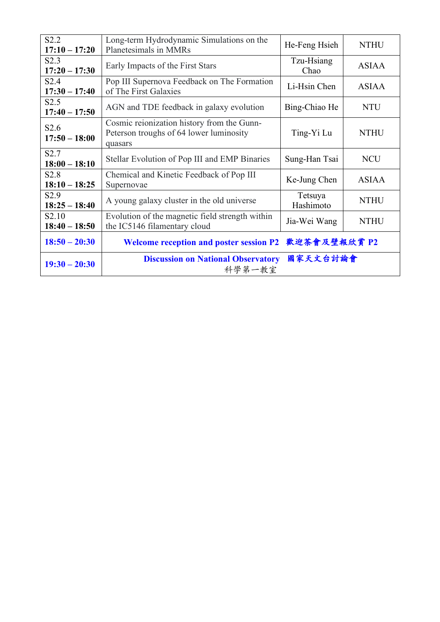| S2.2<br>$17:10 - 17:20$              | Long-term Hydrodynamic Simulations on the<br>Planetesimals in MMRs                               | He-Feng Hsieh        | <b>NTHU</b>  |
|--------------------------------------|--------------------------------------------------------------------------------------------------|----------------------|--------------|
| S2.3<br>$17:20 - 17:30$              | Early Impacts of the First Stars                                                                 | Tzu-Hsiang<br>Chao   | <b>ASIAA</b> |
| S2.4<br>$17:30 - 17:40$              | Pop III Supernova Feedback on The Formation<br>of The First Galaxies                             | Li-Hsin Chen         | <b>ASIAA</b> |
| S2.5<br>$17:40 - 17:50$              | AGN and TDE feedback in galaxy evolution                                                         | Bing-Chiao He        | <b>NTU</b>   |
| S <sub>2.6</sub><br>$17:50 - 18:00$  | Cosmic reionization history from the Gunn-<br>Peterson troughs of 64 lower luminosity<br>quasars | Ting-Yi Lu           | <b>NTHU</b>  |
| S <sub>2.7</sub><br>$18:00 - 18:10$  | Stellar Evolution of Pop III and EMP Binaries                                                    | Sung-Han Tsai        | <b>NCU</b>   |
| S <sub>2.8</sub><br>$18:10 - 18:25$  | Chemical and Kinetic Feedback of Pop III<br>Supernovae                                           | Ke-Jung Chen         | <b>ASIAA</b> |
| S <sub>2.9</sub><br>$18:25 - 18:40$  | A young galaxy cluster in the old universe                                                       | Tetsuya<br>Hashimoto | <b>NTHU</b>  |
| S <sub>2.10</sub><br>$18:40 - 18:50$ | Evolution of the magnetic field strength within<br>the IC5146 filamentary cloud                  | Jia-Wei Wang         | <b>NTHU</b>  |
| $18:50 - 20:30$                      | <b>Welcome reception and poster session P2</b>                                                   | 歡迎茶會及壁報欣賞 P2         |              |
| $19:30 - 20:30$                      | <b>Discussion on National Observatory</b><br>科學第一教室                                              | 國家天文台討論會             |              |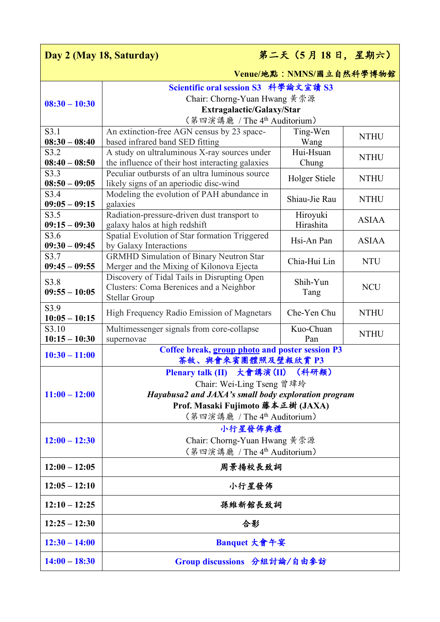| 第二天 (5月18日,星期六)<br>Day 2 (May 18, Saturday) |                                                                                 |                          |              |
|---------------------------------------------|---------------------------------------------------------------------------------|--------------------------|--------------|
|                                             |                                                                                 | Venue/地點: NMNS/國立自然科學博物館 |              |
|                                             | Scientific oral session S3 科學論文宣讀 S3                                            |                          |              |
| $08:30 - 10:30$                             | Chair: Chorng-Yuan Hwang 黄崇源                                                    |                          |              |
|                                             | Extragalactic/Galaxy/Star                                                       |                          |              |
|                                             | (第四演講廳 / The 4 <sup>th</sup> Auditorium)                                        |                          |              |
| S3.1                                        | An extinction-free AGN census by 23 space-                                      | Ting-Wen                 | <b>NTHU</b>  |
| $08:30 - 08:40$<br>S3.2                     | based infrared band SED fitting<br>A study on ultraluminous X-ray sources under | Wang<br>Hui-Hsuan        |              |
| $08:40 - 08:50$                             | the influence of their host interacting galaxies                                | Chung                    | <b>NTHU</b>  |
| S3.3                                        | Peculiar outbursts of an ultra luminous source                                  |                          |              |
| $08:50 - 09:05$                             | likely signs of an aperiodic disc-wind                                          | Holger Stiele            | <b>NTHU</b>  |
| S3.4                                        | Modeling the evolution of PAH abundance in                                      |                          |              |
| $09:05 - 09:15$                             | galaxies                                                                        | Shiau-Jie Rau            | <b>NTHU</b>  |
| S3.5                                        | Radiation-pressure-driven dust transport to                                     | Hiroyuki                 | <b>ASIAA</b> |
| $09:15 - 09:30$                             | galaxy halos at high redshift                                                   | Hirashita                |              |
| S3.6<br>$09:30 - 09:45$                     | Spatial Evolution of Star formation Triggered<br>by Galaxy Interactions         | Hsi-An Pan               | <b>ASIAA</b> |
| S3.7                                        | <b>GRMHD Simulation of Binary Neutron Star</b>                                  | Chia-Hui Lin             | <b>NTU</b>   |
| $09:45 - 09:55$                             | Merger and the Mixing of Kilonova Ejecta                                        |                          |              |
| S3.8                                        | Discovery of Tidal Tails in Disrupting Open                                     | Shih-Yun                 |              |
| $09:55 - 10:05$                             | Clusters: Coma Berenices and a Neighbor                                         | Tang                     | <b>NCU</b>   |
| S3.9                                        | <b>Stellar Group</b>                                                            |                          |              |
| $10:05 - 10:15$                             | High Frequency Radio Emission of Magnetars                                      | Che-Yen Chu              | <b>NTHU</b>  |
| S3.10                                       | Multimessenger signals from core-collapse                                       | Kuo-Chuan                |              |
| $10:15 - 10:30$                             | supernovae                                                                      | Pan                      | <b>NTHU</b>  |
| $10:30 - 11:00$                             | Coffee break, group photo and poster session P3<br>茶敘、與會來賓團體照及壁報欣賞 P3           |                          |              |
|                                             | Plenary talk (II) 大會講演(II)                                                      | (科研類)                    |              |
|                                             | Chair: Wei-Ling Tseng 曾瑋玲                                                       |                          |              |
| $11:00 - 12:00$                             | Hayabusa2 and JAXA's small body exploration program                             |                          |              |
|                                             | Prof. Masaki Fujimoto 藤本正樹 (JAXA)                                               |                          |              |
|                                             | (第四演講廳 / The 4 <sup>th</sup> Auditorium)                                        |                          |              |
|                                             | 小行星發佈典禮                                                                         |                          |              |
| $12:00 - 12:30$                             | Chair: Chorng-Yuan Hwang 黃崇源                                                    |                          |              |
|                                             | (第四演講廳 / The 4 <sup>th</sup> Auditorium)                                        |                          |              |
| $12:00 - 12:05$                             | 周景揚校長致詞                                                                         |                          |              |
| $12:05 - 12:10$                             | 小行星發佈                                                                           |                          |              |
| $12:10 - 12:25$                             | 孫維新館長致詞                                                                         |                          |              |
| $12:25 - 12:30$                             | 合影                                                                              |                          |              |
| $12:30 - 14:00$                             | Banquet 大會午宴                                                                    |                          |              |
| $14:00 - 18:30$                             | Group discussions 分組討論/自由參訪                                                     |                          |              |
|                                             |                                                                                 |                          |              |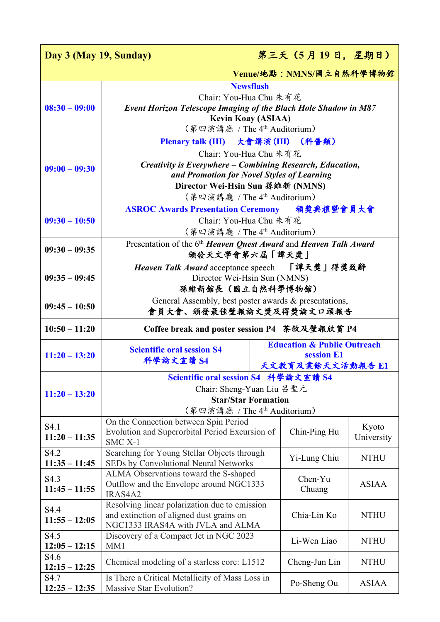| 第三天 (5月19日,星期日)<br>Day 3 (May 19, Sunday) |                                                                                                         |                                        |              |
|-------------------------------------------|---------------------------------------------------------------------------------------------------------|----------------------------------------|--------------|
| Venue/地點: NMNS/國立自然科學博物館                  |                                                                                                         |                                        |              |
|                                           | <b>Newsflash</b>                                                                                        |                                        |              |
|                                           | Chair: You-Hua Chu 朱有花                                                                                  |                                        |              |
| $08:30 - 09:00$                           | <b>Event Horizon Telescope Imaging of the Black Hole Shadow in M87</b>                                  |                                        |              |
|                                           | <b>Kevin Koay (ASIAA)</b><br>(第四演講廳 / The 4 <sup>th</sup> Auditorium)                                   |                                        |              |
|                                           |                                                                                                         |                                        |              |
|                                           | Plenary talk (III) 大會講演(III) (科普類)                                                                      |                                        |              |
|                                           | Chair: You-Hua Chu 朱有花                                                                                  |                                        |              |
| $09:00 - 09:30$                           | Creativity is Everywhere - Combining Research, Education,<br>and Promotion for Novel Styles of Learning |                                        |              |
|                                           | Director Wei-Hsin Sun 孫維新 (NMNS)                                                                        |                                        |              |
|                                           | (第四演講廳 / The 4th Auditorium)                                                                            |                                        |              |
|                                           | ASROC Awards Presentation Ceremony 頒獎典禮暨會員大會                                                            |                                        |              |
| $09:30 - 10:50$                           | Chair: You-Hua Chu 朱有花                                                                                  |                                        |              |
|                                           | (第四演講廳 / The 4 <sup>th</sup> Auditorium)                                                                |                                        |              |
| $09:30 - 09:35$                           | Presentation of the 6 <sup>th</sup> Heaven Quest Award and Heaven Talk Award                            |                                        |              |
|                                           | 頒發天文學會第六屆「譚天獎」                                                                                          |                                        |              |
|                                           | Heaven Talk Award acceptance speech 「譚天獎」得獎致辭                                                           |                                        |              |
| $09:35 - 09:45$                           | Director Wei-Hsin Sun (NMNS)                                                                            |                                        |              |
| 孫維新館長 (國立自然科學博物館)                         |                                                                                                         |                                        |              |
| $09:45 - 10:50$                           | General Assembly, best poster awards & presentations,<br>會員大會、頒發最佳壁報論文獎及得獎論文口頭報告                        |                                        |              |
| $10:50 - 11:20$                           | Coffee break and poster session P4 茶敘及壁報欣賞 P4                                                           |                                        |              |
|                                           | <b>Scientific oral session S4</b>                                                                       | <b>Education &amp; Public Outreach</b> |              |
| $11:20 - 13:20$                           |                                                                                                         |                                        |              |
|                                           | 科學論文宣讀 S4                                                                                               | session E1                             |              |
|                                           |                                                                                                         | 天文教育及業餘天文活動報告 E1                       |              |
|                                           | Scientific oral session S4 科學論文宣讀 S4                                                                    |                                        |              |
| $11:20 - 13:20$                           | Chair: Sheng-Yuan Liu 呂聖元                                                                               |                                        |              |
|                                           | <b>Star/Star Formation</b>                                                                              |                                        |              |
|                                           | (第四演講廳 / The 4th Auditorium)<br>On the Connection between Spin Period                                   |                                        |              |
| S4.1                                      | Evolution and Superorbital Period Excursion of                                                          | Chin-Ping Hu                           | Kyoto        |
| $11:20 - 11:35$                           | SMC <sub>X</sub> -1                                                                                     |                                        | University   |
| S4.2                                      | Searching for Young Stellar Objects through                                                             | Yi-Lung Chiu                           | <b>NTHU</b>  |
| $11:35 - 11:45$                           | SEDs by Convolutional Neural Networks                                                                   |                                        |              |
| S4.3                                      | ALMA Observations toward the S-shaped                                                                   | Chen-Yu                                | <b>ASIAA</b> |
| $11:45 - 11:55$                           | Outflow and the Envelope around NGC1333<br>IRAS4A2                                                      | Chuang                                 |              |
| S4.4                                      | Resolving linear polarization due to emission                                                           |                                        |              |
| $11:55 - 12:05$                           | and extinction of aligned dust grains on                                                                | Chia-Lin Ko                            | <b>NTHU</b>  |
|                                           | NGC1333 IRAS4A with JVLA and ALMA                                                                       |                                        |              |
| S4.5<br>$12:05 - 12:15$                   | Discovery of a Compact Jet in NGC 2023<br>MM1                                                           | Li-Wen Liao                            | <b>NTHU</b>  |
| S4.6                                      |                                                                                                         |                                        |              |
| $12:15 - 12:25$<br>S4.7                   | Chemical modeling of a starless core: L1512<br>Is There a Critical Metallicity of Mass Loss in          | Cheng-Jun Lin                          | <b>NTHU</b>  |